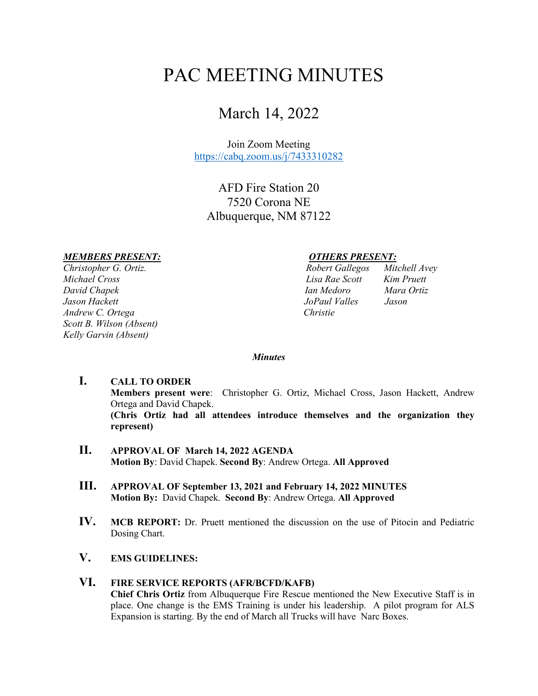# PAC MEETING MINUTES

## March 14, 2022

Join Zoom Meeting <https://cabq.zoom.us/j/7433310282>

AFD Fire Station 20 7520 Corona NE Albuquerque, NM 87122

#### *MEMBERS PRESENT: OTHERS PRESENT:*

*Christopher G. Ortiz. Michael Cross David Chapek Jason Hackett Andrew C. Ortega Scott B. Wilson (Absent) Kelly Garvin (Absent)* 

| Robert Gallegos | Mitchell Avey |
|-----------------|---------------|
| Lisa Rae Scott  | Kim Pruett    |
| Ian Medoro      | Mara Ortiz    |
| JoPaul Valles   | Jason         |
| Christie        |               |

#### *Minutes*

- **I. CALL TO ORDER Members present were**: Christopher G. Ortiz, Michael Cross, Jason Hackett, Andrew Ortega and David Chapek. **(Chris Ortiz had all attendees introduce themselves and the organization they represent)**
- **II. APPROVAL OF March 14, 2022 AGENDA Motion By**: David Chapek. **Second By**: Andrew Ortega. **All Approved**
- **III. APPROVAL OF September 13, 2021 and February 14, 2022 MINUTES Motion By:** David Chapek. **Second By**: Andrew Ortega. **All Approved**
- **IV. MCB REPORT:** Dr. Pruett mentioned the discussion on the use of Pitocin and Pediatric Dosing Chart.
- **V. EMS GUIDELINES:**

#### **VI. FIRE SERVICE REPORTS (AFR/BCFD/KAFB)**

**Chief Chris Ortiz** from Albuquerque Fire Rescue mentioned the New Executive Staff is in place. One change is the EMS Training is under his leadership. A pilot program for ALS Expansion is starting. By the end of March all Trucks will have Narc Boxes.